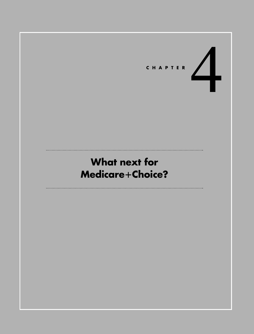

# **What next for Medicare**-**Choice?**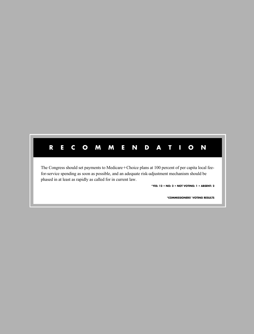## **RECOMMENDATION**

The Congress should set payments to Medicare+Choice plans at 100 percent of per capita local feefor-service spending as soon as possible, and an adequate risk-adjustment mechanism should be phased in at least as rapidly as called for in current law.

**\*YES: 12 • NO: 2 • NOT VOTING: 1 • ABSENT: 2**

**\*COMMISSIONERS' VOTING RESULTS**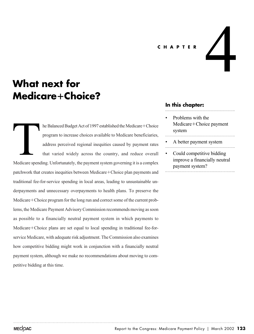#### **CHAPTER**

## **What next for Medicare**-**Choice?**

he Balanced Budget Act of 1997 established the Medicare+Choice program to increase choices available to Medicare beneficiaries, address perceived regional inequities caused by payment rates that varied widely across the country, and reduce overall Medicare spending. Unfortunately, the payment system governing it is a complex patchwork that creates inequities between Medicare+Choice plan payments and traditional fee-for-service spending in local areas, leading to unsustainable underpayments and unnecessary overpayments to health plans. To preserve the Medicare + Choice program for the long run and correct some of the current problems, the Medicare Payment Advisory Commission recommends moving as soon as possible to a financially neutral payment system in which payments to Medicare+Choice plans are set equal to local spending in traditional fee-forservice Medicare, with adequate risk adjustment. The Commission also examines how competitive bidding might work in conjunction with a financially neutral payment system, although we make no recommendations about moving to competitive bidding at this time. Medicare spend

#### **In this chapter:**

• Problems with the Medicare+Choice payment system

4

- A better payment system
- Could competitive bidding improve a financially neutral payment system?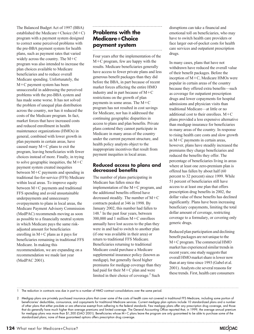The Balanced Budget Act of 1997 (BBA) established the Medicare+Choice  $(M+C)$ program with a payment system designed to correct some perceived problems with the pre-BBA payment system for health plans, such as payment rates that varied widely across the country. The  $M+C$ program was also intended to increase the plan choices available to Medicare beneficiaries and to reduce overall Medicare spending. Unfortunately, the M-C payment system has been unsuccessful in addressing the perceived problems with the pre-BBA system and has made some worse. It has not solved the problem of unequal plan distribution across the country, nor has it reduced the costs of the Medicare program. In fact, market forces that have increased costs and reduced enrollment in health maintenance organizations (HMOs) in general, combined with lower growth in plan payments in certain areas, have caused many  $M+C$  plans to exit the program, leaving beneficiaries with fewer choices instead of more. Finally, in trying to solve geographic inequities, the  $M+C$ payment system created inequities between M+C payments and spending in traditional fee-for-service (FFS) Medicare within local areas. To improve equity between M-C payments and traditional FFS spending and avoid unsustainable underpayments and unnecessary overpayments to plans in local areas, the Medicare Payment Advisory Commission (MedPAC) recommends moving as soon as possible to a financially neutral system in which Medicare pays the same riskadjusted amount for beneficiaries enrolling in M-C plans as it pays for beneficiaries remaining in traditional FFS Medicare. In making this recommendation, we are expanding on a recommendation we made last year (MedPAC 2001).

## **Problems with the Medicare**-**Choice payment system**

Four years after the implementation of the M-C program, few are happy with the results. Medicare beneficiaries generally have access to fewer private plans and less generous benefit packages than they did before the BBA, in part because of recent market forces affecting the entire HMO industry and in part because of  $M+C$ restrictions on the growth of plan payments in some areas. The M-C program has not resulted in cost savings for Medicare, nor has it addressed the continuing geographic disparities in access to plans and plan benefits. Private plans contend they cannot participate in Medicare in many areas of the country under the current payment structure, and health policy analysts object to the inappropriate incentives that result from payment inequities in local areas.

#### **Reduced access to plans and decreased benefits**

The number of plans participating in Medicare has fallen since the implementation of the  $M+C$  program, and the additional benefits offered have decreased steadily. The number of M-C contracts peaked at 346 in 1998. By January 2002, this number had fallen to  $148<sup>1</sup>$  In the past four years, between 300,000 and 1 million M-C enrollees annually have lost access to the plan they were in and had to switch to another plan (if one was available in their area) or return to traditional FFS Medicare. Beneficiaries returning to traditional Medicare could purchase a Medicare supplemental insurance policy (known as medigap), but generally faced higher premiums for medigap coverage than they had paid for their  $M+C$  plan and were limited in their choice of coverage.<sup>2</sup> Such

disruptions can take a financial and emotional toll on beneficiaries, who may have to switch health care providers or face larger out-of-pocket costs for health care services and outpatient prescription drugs.

In many cases, plans that have not withdrawn have reduced the overall value of their benefit packages. Before the inception of M-C, Medicare HMOs were popular in certain areas of the country because they offered extra benefits—such as coverage for outpatient prescription drugs and lower copayments for hospital admissions and physician visits than traditional Medicare—at little or no additional cost to their enrollees. M-C plans provided a less expensive alternative than medigap insurance for beneficiaries in many areas of the country. In response to rising health care costs and slow growth in M-C payments in certain areas, however, plans have steadily increased the premiums they charge beneficiaries and reduced the benefits they offer. The percentage of beneficiaries living in areas where at least one zero-premium plan is offered has fallen by about half (60 percent to 32 percent) since 1999. While 51 percent of beneficiaries still have access to at least one plan that offers prescription drug benefits in 2002, the dollar value of these benefits has declined significantly. Plans have been increasing beneficiary copayments, limiting the total dollar amount of coverage, restricting coverage to a formulary, or covering only generic drugs.

Reduced plan participation and declining benefit packages are not unique to the M-C program. The commercial HMO market has experienced similar trends in recent years; one study suggests that overall HMO market share is lower now than at any time since 1993 (Gabel et al. 2001). Analysts cite several reasons for these trends. First, health care consumers

1 The reduction in contracts was due in part to a number of HMO contract consolidations over the same period.

<sup>2</sup> Medigap plans are privately purchased insurance plans that cover some of the costs of health care not covered in traditional FFS Medicare, including some portion of beneficiaries' deductibles, coinsurance, and copayments for traditional Medicare services. Current medigap plan options include 10 standardized plans and a number of other plans that either pre-date or are otherwise exempt from adhering to the federal standards. Few medigap plans offer any prescription drug coverage, and those that do generally have much higher than average premiums and limited coverage. The General Accounting Office reported that, in 1999, the average annual premium for medigap plans was more than \$1,300 (GAO 2001). Beneficiaries whose M+C plans leave the program are only guaranteed to be able to purchase some of the standardized plans; none of these guaranteed options offers prescription drug coverage.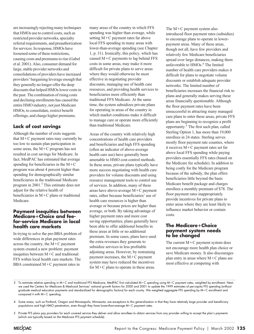are increasingly rejecting many techniques that HMOs use to control costs, such as restricted provider networks, specialty referral requirements, and preauthorization for services. In response, HMOs have loosened some of these restrictions, causing costs and premiums to rise (Gabel et al. 2001). Also, consumer demand for large, stable provider networks and consolidations of providers have increased providers' bargaining leverage enough that they generally no longer offer the deep discounts that helped HMOs lower costs in the past. The combination of rising costs and declining enrollments has caused the entire HMO industry, not just Medicare HMOs, to consolidate, restrict benefit offerings, and charge higher premiums.

#### **Lack of cost savings**

Although the number of exits suggests that M-C payment rates may currently be too low to sustain plan participation in some areas, the M-C program has not resulted in cost savings for Medicare. In fact, MedPAC has estimated that average spending for beneficiaries in the  $M+C$ program was about 4 percent higher than spending for demographically similar beneficiaries in the traditional Medicare program in 2001.3 This estimate does not adjust for the relative health of beneficiaries in M+C plans or traditional Medicare.

#### **Payment inequities between Medicare**-**Choice and feefor-service Medicare in local health care markets**

In trying to solve the pre-BBA problem of wide differences in plan payment rates across the country, the M-C payment system created a new problem: payment inequities between  $M+C$  and traditional FFS within local health care markets. The BBA constrained M-C payment rates in

many areas of the country in which FFS spending was higher than average, while setting M-C payment rates far above local FFS spending in many areas with lower-than-average spending (see Chapter 1, p. 31). Ironically, this policy, which has caused M-C payments to lag behind FFS costs in some areas, may make it more difficult for private plans to serve areas where they would otherwise be most effective in negotiating provider discounts, managing use of health care resources, and providing health services to beneficiaries more efficiently than traditional FFS Medicare. At the same time, the system subsidizes private plans for operating in areas of the country in which market conditions make it difficult to manage care or operate more efficiently than traditional Medicare.

Areas of the country with relatively high concentrations of health care providers and beneficiaries and high FFS spending (often an indicator of above-average health care use) have generally been amenable to HMO cost-control methods. In these areas, private plans typically have more success negotiating with health care providers for volume discounts and using resource management tools to control use of services. In addition, many of these areas have above-average  $M+C$  payment rates, either because beneficiaries' use of health care resources is higher than average or because prices are higher than average, or both. By taking advantage of higher payment rates and more cost saving opportunities, plans generally have been able to offer additional benefits in these areas at little or no additional premium. In some cases, plans have used the extra revenues they generate to subsidize services in less profitable adjoining areas. However, by restraining payment increases, the M-C payment system may have reduced the incentives for M-C plans to operate in these areas.

The  $M+C$  payment system also introduced floor payment rates (subsidies) to encourage plans to operate in lowerpayment areas. Many of these areas, though not all, have few providers and relatively few Medicare beneficiaries spread over large distances, making them unfavorable to HMOs.<sup>4</sup> The limited number of health care providers makes it difficult for plans to negotiate volume discounts or establish adequate provider networks. The limited number of beneficiaries increases the financial risk to plans and generally makes serving these areas financially questionable. Although the floor payment rates have been unsuccessful in attracting many managed care plans to enter these areas, private FFS plans are beginning to recognize a profit opportunity.5 The first such plan, called Sterling Option 1, has more than 19,000 enrollees in 24 states. Sterling serves mostly floor payment rate counties, where it receives M-C payment rates set far above local FFS spending while paying providers essentially FFS rates (based on the Medicare fee schedule). In addition to being costly for the Medicare program because of the subsidy, the plan offers beneficiaries little beyond the basic Medicare benefit package and charges enrollees a monthly premium of \$78. The floor payment rates inappropriately provide incentives for private plans to enter areas where they are least likely to influence market behavior or contain costs.

#### **The Medicare**-**Choice payment system needs to be changed**

The current  $M+C$  payment system does not encourage more health plan choice or save Medicare money. It also discourages plan entry in areas where M-C plans are most effective at competing with

- 3 To estimate relative spending in M+C and traditional FFS Medicare, MedPAC first calculated M+C spending using M+C payment rates, weighted by enrollment. Next, we used the Centers for Medicare & Medicaid Services' national growth factors for 2000 and 2001 to update the 1999 estimates of per-capita FFS spending (without graduate medical education payments and standardized for demographic factors) for each county. We weighted aggregate FFS spending by M-C enrollment and compared it with M-C spending.
- 4 Some areas, such as Portland, Oregon and Minneapolis, Minnesota, are exceptions to this generalization in that they have relatively large provider and beneficiary populations and high HMO penetration, even though they have lower-than-average M-C payment rates.
- 5 Private FFS plans pay providers for each covered service they deliver and allow enrollees to obtain services from any provider willing to accept the plan's payments (which are typically based on the Medicare FFS payment schedule).

MECOAC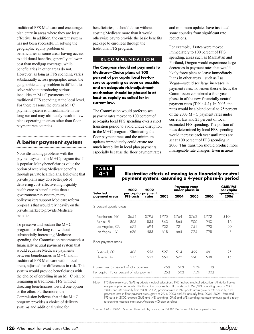traditional FFS Medicare and encourages plan entry in areas where they are least effective. In addition, the current system has not been successful in solving the geographic equity problem of beneficiaries in some areas having access to additional benefits, generally at lower cost than medigap coverage, while beneficiaries in other areas do not. However, as long as FFS spending varies substantially across geographic areas, the geographic equity problem is difficult to solve without introducing serious inequities in M-C payments and traditional FFS spending at the local level. For these reasons, the current  $M+C$ payment system is unsustainable in the long run and may ultimately result in few plans operating in areas other than floor payment rate counties.

## **A better payment system**

Notwithstanding problems with the payment system, the M-C program itself is popular. Many beneficiaries value the option of receiving Medicare benefits through private health plans. Believing that private plans may do a better job of delivering cost-effective, high-quality health care to beneficiaries than a government-run system, many policymakers support Medicare reform proposals that would rely heavily on the private market to provide Medicare benefits.

To preserve and sustain the  $M+C$ program for the long run without substantially increasing Medicare spending, the Commission recommends a financially neutral payment system that would equalize Medicare payments between beneficiaries in M-C and in traditional FFS Medicare within local areas, adjusted for differences in risk. This system would provide beneficiaries with the choice of enrolling in an M-C plan or remaining in traditional FFS without directing beneficiaries toward one option or the other. Furthermore, the Commission believes that if the  $M+C$ program provides a choice of delivery systems and additional value for

beneficiaries, it should do so without costing Medicare more than it would otherwise pay to provide the basic benefits package to enrollees through the traditional FFS program.

#### **RECOMMENDATION**

**The Congress should set payments to Medicare**-**Choice plans at 100 percent of per capita local fee-forservice spending as soon as possible, and an adequate risk-adjustment mechanism should be phased in at least as rapidly as called for in current law.**

The Commission would prefer to see payment rates moved to 100 percent of per-capita local FFS spending over a short transition period to avoid undue disruption in the M-C program. Eliminating the floor payment rates and the minimum updates immediately could create too much instability in local plan payments, especially because the floor payment rates

and minimum updates have insulated some counties from significant rate reductions.

For example, if rates were moved immediately to 100 percent of FFS spending, areas such as Manhattan and Portland, Oregon would experience large decreases in payment rates that would likely force plans to leave immediately. Plans in other areas—such as Las Vegas—would see large increases in payment rates. To lessen these effects, the Commission considered a four-year phase-in of the new financially neutral payment rates (Table 4-1). In 2003, the rates would be a blend equal to 75 percent of the 2003 M-C payment rates under current law and 25 percent of local estimated FFS spending. The portion of rates determined by local FFS spending would increase each year until rates are set at 100 percent of FFS spending in 2006. This transition should produce more manageable rate changes. Even in areas

**TABLE 4-1**

#### **Illustrative effects of moving to a financially neutral payment system, assuming a 4-year phase-in period**

| 2002<br><b>FFS</b> costs                | 2002<br>rates | <b>Payment rates</b><br>under phase-in                           |       |       | GME/IME<br>per capita |                     |
|-----------------------------------------|---------------|------------------------------------------------------------------|-------|-------|-----------------------|---------------------|
|                                         |               | 2003                                                             | 2004  | 2005  | 2006                  | spending in<br>2006 |
| 2 percent update areas                  |               |                                                                  |       |       |                       |                     |
| \$654                                   | \$795         | \$775                                                            | \$764 | \$762 | \$772                 | \$104               |
| 80.5                                    | 834           | 843                                                              | 865   | 900   | 9.50                  | 16                  |
| 672                                     | 694           | 702                                                              | 721   | 751   | 793                   | 20                  |
| 676                                     | 583           | 618                                                              | 665   | 724   | 798                   | 8                   |
|                                         |               |                                                                  |       |       |                       |                     |
| 408                                     | 553           | 527                                                              | 514   | 499   | 481                   | 25                  |
| 515                                     | 553           | 554                                                              | 572   | 590   | 608                   | 15                  |
| Current law as percent of total payment |               | 75%                                                              | 50%   | 25%   | $O\%$                 |                     |
|                                         |               | 25%                                                              | .50%  | 75%   | 100%                  |                     |
|                                         |               | per capita payment<br>Per capita FFS as percent of total payment |       |       |                       |                     |

Note: FFS (fee-for-service), GME (graduate medical education), IME (indirect medical education). All dollar figures are per capita per month. This illustration assumes that: FFS costs and GME/IME spending grow at 2% in 2003 and 5% annually from 2004–2006, payment rates in 2% update areas grow at 2% annually, and payment rates in floor payment areas grow at 2% in 2003 and 5% annually from 2004–2006. Estimated FFS costs in 2002 exclude GME and IME spending. GME and IME spending represent amounts paid directly to teaching hospitals that serve Medicare-Choice enrollees.

Source: CMS, 1999 FFS expenditure data by county, and 2002 Medicare-Choice payment rates.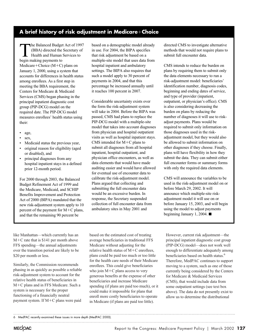#### **A brief history of risk adjustment in Medicare**-**Choice**

The Balanced Budget Act of 1997<br>(BBA) directed the Secretary of<br>Health and Human Services to<br>heain making payments to (BBA) directed the Secretary of Health and Human Services to begin making payments to  $Medicare + Choice (M+C)$  plans on January 1, 2000, using a system that accounts for differences in health status among enrollees. As a first step in meeting the BBA requirement, the Centers for Medicare & Medicaid Services (CMS) began phasing in the principal inpatient diagnostic cost group (PIP-DCG) model on the required date. The PIP-DCG model measures enrollees' health status using their:

- age,
- sex.
- Medicaid status the previous year,
- original reason for eligibility (aged or disabled), and
- principal diagnoses from any hospital inpatient stays in a defined prior 12-month period.

For 2000 through 2003, the Balanced Budget Refinement Act of 1999 and the Medicare, Medicaid, and SCHIP Benefits Improvement and Protection Act of 2000 (BIPA) mandated that the new risk-adjustment system apply to 10 percent of the payment for M-C plans, and that the remaining 90 percent be

based on a demographic model already in use. For 2004, the BIPA specifies that risk adjustment be based on a multiple-site model that uses data from hospital inpatient and ambulatory settings. The BIPA also requires that such a model apply to 30 percent of payments in 2004, and that this percentage be increased annually until it reaches 100 percent in 2007.

Considerable uncertainty exists over the form the risk-adjustment system will take in 2004. Before the BIPA was passed, CMS had plans to replace the PIP-DCG model with a multiple-site model that takes into account diagnoses from physician and hospital outpatient visits as well as hospital inpatient stays. CMS intended for  $M+C$  plans to submit all diagnoses from all hospital inpatient, hospital outpatient, and physician office encounters, as well as data elements that would have made auditing easier and would have allowed for eventual use of encounter data to calibrate the risk-adjustment model. Plans argued that collecting and submitting the full encounter data would be an excessive burden. In response, the Secretary suspended collection of full encounter data from ambulatory sites in May 2001 and

directed CMS to investigate alternative methods that would not require plans to submit full encounter data.

CMS intends to reduce the burden on plans by requiring them to submit only the data elements necessary to run a risk-adjustment model: beneficiaries' identification number, diagnosis codes, beginning and ending dates of service, and type of provider (inpatient, outpatient, or physician's office). CMS is also considering decreasing the burden on plans by reducing the number of diagnoses it will use to riskadjust payments. Plans would be required to submit only information on those diagnoses used in the riskadjustment model, but they would also be allowed to submit information on other diagnoses if they choose. Finally, plans will have flexibility in how they submit the data. They can submit either full encounter forms or summary forms with only the required data elements.

CMS will announce the variables to be used in the risk-adjustment model on or before March 29, 2002. It will announce which multiple-site riskadjustment model it will use on or before January 15, 2003, and will begin using the model to adjust payments beginning January 1, 2004.  $\blacksquare$ 

like Manhattan—which currently has an M-C rate that is \$141 per month above FFS spending—the annual adjustments over the transition period are likely to be \$20 per month or less.

Similarly, the Commission recommends phasing in as quickly as possible a reliable risk-adjustment system to account for the relative health status of beneficiaries in M-C plans and in FFS Medicare. Such a system is necessary for the proper functioning of a financially neutral payment system. If M-C plans were paid

based on the estimated cost of treating average beneficiaries in traditional FFS Medicare without adjusting for the relative health status of  $M+C$  enrollees, plans could be paid too much or too little for the health care needs of their Medicare enrollees. This could give beneficiaries who join M+C plans access to very generous benefits at the expense of other beneficiaries and increase Medicare spending (if plans are paid too much), or it could make it impossible for plans that enroll more costly beneficiaries to operate in Medicare (if plans are paid too little).

However, current risk adjustment—the principal inpatient diagnostic cost group (PIP-DCG) model—does not work well enough to differentiate adequately among beneficiaries based on health status.<sup>6</sup> Therefore, MedPAC continues to support moving to a system, such as one of those currently being considered by the Centers for Medicare & Medicaid Services (CMS), that would include data from some outpatient settings (see text box above). The data do not presently exist to allow us to determine the distributional

<sup>6</sup> MedPAC recently examined these issues in more depth (MedPAC 2000).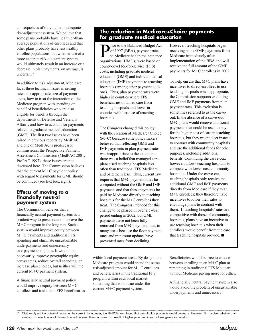consequences of moving to an adequate risk-adjustment system. We believe that some plans probably have healthier-thanaverage populations of enrollees and that other plans probably have less healthy enrollee populations, but whether use of a more accurate risk-adjustment system would ultimately result in an increase or a decrease in plan payments, on average, is uncertain.<sup>7</sup>

In addition to risk adjustment, Medicare faces three technical issues in setting rates: the appropriate size of payment areas, how to treat the interaction of the Medicare program with spending on behalf of beneficiaries who are also eligible for benefits through the departments of Defense and Veterans Affairs, and how to account for payments related to graduate medical education (GME). The first two issues have been raised in previous reports by MedPAC and one of MedPAC's predecessor commissions, the Prospective Payment Assessment Commission (MedPAC 2001, ProPAC 1997); these issues are not discussed here. The Commission believes that the current  $M+C$  payment policy with regard to payments for GME should be continued (see text box, right).

#### **Effects of moving to a financially neutral payment system**

The Commission believes that a financially neutral payment system is a prudent way to preserve and improve the M-C program in the long run. Such a system would improve equity between M-C payments and traditional FFS spending and eliminate unsustainable underpayments and unnecessary overpayments to plans. It would not necessarily improve geographic equity across areas, reduce overall spending, or increase plan choices, but neither will the current M-C payment system.

A financially neutral payment policy would improve equity between  $M+C$ enrollees and traditional FFS beneficiaries

#### **The reduction in Medicare+Choice payments for graduate medical education**

rior to the Balanced Budget Act of 1997 (BBA), payment rates to Medicare health maintenance organizations (HMOs) were based on county-level fee-for-service (FFS) costs, including graduate medical education (GME) and indirect medical education (IME) payments to teaching hospitals (among other payment addons). Thus, plan payment rates were higher in counties where FFS beneficiaries obtained care from teaching hospitals and lower in counties with less use of teaching hospitals.

The Congress changed this policy with the creation of Medicare+Choice (M+C) because some policymakers believed that reflecting GME and IME payments in plan payment rates was inappropriate to the extent that there was a belief that managed care plans used teaching hospitals less often than traditional FFS Medicare and paid them less. Thus, current law requires that M+C payment rates be computed without the GME and IME payments and that these payments be paid by Medicare directly to teaching hospitals for the M+C enrollees they treat. The Congress intended for this change to be phased in over a 5-year period ending in 2002, but GME payments have not been fully removed from M+C payment rates in many areas because the floor payment rates and minimum updates have prevented rates from declining.

within local payment areas. By design, the Medicare program would spend the same risk-adjusted amount for M-C enrollees and beneficiaries in the traditional FFS program within each local market, something that is not true under the current M-C payment system.

However, teaching hospitals began receiving some GME payments from Medicare immediately after implementation of the BBA and will receive the full amount of the GME payments for M+C enrollees in 2002.

To help ensure that M+C plans have incentives to direct enrollees to use teaching hospitals when appropriate, the Commission supports excluding GME and IME payments from plan payment rates. This exclusion is sometimes referred to as the carveout. In the absence of a carve-out, M+C plans would receive additional payments that could be used to pay for the higher cost of care in teaching hospitals, but they might elect instead to contract with community hospitals and use the additional funds for other purposes, including additional benefits. Continuing the carve-out, however, allows teaching hospitals to compete with lower-cost community hospitals. Under the carve-out, teaching hospitals only receive the additional GME and IME payments directly from Medicare if they treat M+C enrollees; they therefore have incentives to lower their rates to encourage plans to contract with them. If teaching hospitals' rates are competitive with those of community hospitals, plans have an incentive to use teaching hospitals when their enrollees would benefit from the care that teaching hospitals provide.  $\blacksquare$ 

Beneficiaries would be free to choose between enrolling in an M-C plan or remaining in traditional FFS Medicare, without Medicare paying more for either.

A financially neutral payment system also would avoid the problem of unsustainable underpayments and unnecessary

<sup>7</sup> CMS analyzed the potential impact of the current risk adjuster, the PIP-DCG, and found that overall plan payments would decrease. However, it is unclear whether any existing risk selection would have changed between then and now as a result of higher plan premiums and less generous benefits.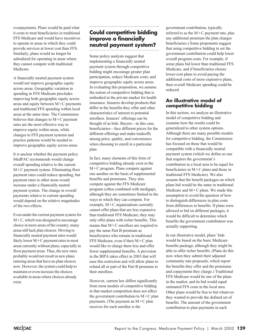overpayments. Plans would be paid what it costs to treat beneficiaries in traditional FFS Medicare and would have incentives to operate in areas in which they could provide services at lower cost than FFS. Similarly, plans would no longer be subsidized for operating in areas where they cannot compete with traditional Medicare.

A financially neutral payment system would not improve geographic equity across areas. Geographic variation in spending in FFS Medicare precludes improving both geographic equity across areas and equity between  $M+C$  payments and traditional FFS spending within local areas at the same time. The Commission believes that changes to  $M+C$  payment rates are the most effective way to improve equity within areas, while changes to FFS payment systems and practice patterns would be needed to improve geographic equity across areas.

It is unclear whether the payment policy MedPAC recommends would change overall spending relative to the current M-C payment system. Eliminating floor payment rates could reduce spending, but payment rates to other areas would increase under a financially neutral payment system. The change in overall payments relative to current spending would depend on the relative magnitudes of the two effects.

Even under the current payment system for M-C, which was designed to encourage choice in more areas of the country, many areas still lack plan choices. Moving to financially neutral payment rates would likely lower M-C payment rates in most areas currently without plans, especially in floor payment areas. Thus, the new rates probably would not result in new plans entering areas that have no plan choices now. However, the system could help to maintain or even increase the choices available in areas where choices already exist.

## **Could competitive bidding improve a financially neutral payment system?**

Some policy analysts suggest that implementing a financially neutral payment system through competitive bidding might encourage greater plan participation, reduce Medicare costs, and improve geographic equity across areas. In evaluating this proposition, we assume the notion of competitive bidding that is embodied in the private market for health insurance. Insurers develop products that differ in the benefits they offer and other characteristics of interest to potential enrollees. Insurers' offerings can be thought of as bids. Buyers—in this case, beneficiaries—face different prices for the different offerings and make tradeoffs among price, quality, and convenience when choosing to enroll in a particular plan.

In fact, many elements of this form of competitive bidding already exist in the M-C program. Plans compete against one another on the basis of supplemental benefits and premiums. They also compete against the FFS Medicare program (often combined with medigap), although they are sometimes limited in the ways in which they can compete. For example, M-C organizations currently cannot offer plans that are less expensive than traditional FFS Medicare; they may only offer plans with richer benefits. This means that M+C enrollees are required to pay the same Part B premium as beneficiaries who remain in traditional FFS Medicare, even if their  $M+C$  plan would like to charge them less and offer fewer supplemental benefits. A provision in the BIPA takes effect in 2003 that will ease this restriction and will allow plans to refund all or part of the Part B premium to their enrollees.

However, current law differs significantly from most models of competitive bidding in that market competition does not affect the government contribution to  $M+C$  plan payments. (The payment an  $M+C$  plan receives for each enrollee is the

government contribution, typically referred to as the  $M+C$  payment rate, plus any additional premium the plan charges beneficiaries.) Some proponents suggest that using competitive bidding to set the government contribution could help lower overall program costs. For example, if some plans bid lower than traditional FFS Medicare, and if beneficiaries choose lower-cost plans to avoid paying the additional costs of more expensive plans, then overall Medicare spending could be reduced.

#### **An illustrative model of competitive bidding**

In this section, we analyze an illustrative model of competitive bidding and examine how the results could be generalized to other system options. Although there are many possible models for competitive bidding, the Commission has focused on those that would be compatible with a financially neutral payment system (which we define as one that requires the government's contribution in a local area to be equal for beneficiaries in  $M+C$  plans and those in traditional FFS Medicare). We also assume that the benefit packages on which plans bid would be the same in traditional Medicare and  $M+C$  plans. We made this assumption to avoid the question of how to distinguish differences in plan costs from differences in benefits. If plans were allowed to bid on different packages, it would be difficult to determine which benefits the government contribution was actually supporting.

In our illustrative model, plans' bids would be based on the basic Medicare benefits package, although they might be able to offer richer benefits. (Plans do this now when they submit their adjusted community rate proposals, which report the benefits they offer and the premiums and copayments they charge.) Traditional FFS Medicare would be one of the plans in the market, and its bid would equal estimated FFS costs in the local area. Other plans would be free to bid whatever they wanted to provide the defined set of benefits. The amount of the government contribution to plan payments in each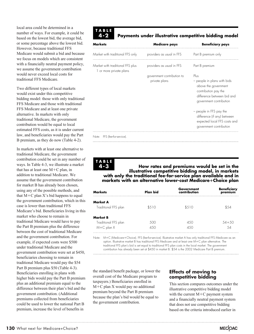local area could be determined in a number of ways. For example, it could be based on the lowest bid, the average bid, or some percentage above the lowest bid. However, because traditional FFS Medicare would submit a bid and because we focus on models which are consistent with a financially neutral payment policy, we assume the government contribution would never exceed local costs for traditional FFS Medicare.

Two different types of local markets would exist under this competitive bidding model: those with only traditional FFS Medicare and those with traditional FFS Medicare and at least one private alternative. In markets with only traditional Medicare, the government contribution would be equal to local estimated FFS costs, as it is under current law, and beneficiaries would pay the Part B premium, as they do now (Table 4-2).

In markets with at least one alternative to traditional Medicare, the government contribution could be set in any number of ways. In Table 4-3, we illustrate a market that has at least one  $M+C$  plan, in addition to traditional Medicare. We assume that the government contribution for market B has already been chosen, using any of the possible methods, and that M-C plan X's bid happens to equal the government contribution, which in this case is lower than traditional FFS Medicare's bid. Beneficiaries living in this market who choose to remain in traditional Medicare would have to pay the Part B premium plus the difference between the cost of traditional Medicare and the government contribution. For example, if expected costs were \$500 under traditional Medicare and the government contribution were set at \$450, beneficiaries choosing to remain in traditional Medicare would pay the \$54 Part B premium plus \$50 (Table 4-3). Beneficiaries enrolling in plans with higher bids would pay the Part B premium plus an additional premium equal to the difference between their plan's bid and the government contribution. (Additional premiums collected from beneficiaries could be used to lower the national Part B premium, increase the level of benefits in

### **TABLE 4-2**

## **Payments under illustrative competitive bidding model**

| Markets                                                     | Medicare pays                               | <b>Beneficiary pays</b>                                                                                                                      |
|-------------------------------------------------------------|---------------------------------------------|----------------------------------------------------------------------------------------------------------------------------------------------|
| Market with traditional FFS only                            | providers as usual in FFS                   | Part B premium only                                                                                                                          |
| Market with traditional FFS plus<br>1 or more private plans | providers as usual in FFS                   | Part B premium                                                                                                                               |
|                                                             | government contribution to<br>private plans | Plus<br>- people in plans with bids<br>above the government<br>contribution pay the<br>difference between bid and<br>government contribution |
|                                                             |                                             | - people in FFS pay the<br>difference (if any) between<br>expected local FFS costs and<br>government contribution                            |
| Note: FFS (fee-for-service).                                |                                             |                                                                                                                                              |

**TABLE 4-3**

**How rates and premiums would be set in the illustrative competitive bidding model, in markets with only the traditional fee-for-service plan available and in markets with an alternative lower-cost Medicare**-**Choice plan**

| Markets              | Plan bid | Government<br>contribution | <b>Beneficiary</b><br>premium |
|----------------------|----------|----------------------------|-------------------------------|
| Market A             |          |                            |                               |
| Traditional FFS plan | \$510    | \$510                      |                               |
| Market B             |          |                            |                               |
| Traditional FFS plan | 500      | 4.50                       | $54 + 50$                     |
| $M+C$ plan $X$       | 150      | 450                        | 54                            |
|                      |          |                            |                               |

Note: M-C (Medicare-Choice). FFS (fee-for-service). Illustrative market A has only traditional FFS Medicare as an option. Illustrative market B has traditional FFS Medicare and at least one M-C plan alternative. The traditional FFS plan's bid is set equal to traditional FFS plan costs in the local market. The government contribution has already been set at \$450 in market B. \$54 is the 2002 Medicare Part B premium.

the standard benefit package, or lower the overall cost of the Medicare program to taxpayers.) Beneficiaries enrolled in M-C plan X would pay no additional premium beyond the Part B premium because the plan's bid would be equal to the government contribution.

#### **Effects of moving to competitive bidding**

This section compares outcomes under the illustrative competitive bidding model with the current  $M+C$  payment system and a financially neutral payment system that does not use competitive bidding based on the criteria introduced earlier in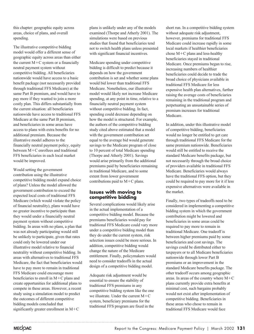this chapter: geographic equity across areas, choice of plans, and overall spending.

The illustrative competitive bidding model would offer a different sense of geographic equity across areas than either the current M-C system or a financially neutral payment system without competitive bidding. All beneficiaries nationwide would have access to a basic benefit package (not necessarily provided through traditional FFS Medicare) at the same Part B premium, and would have to pay more if they wanted to join a more costly plan. This differs substantially from the current situation: all beneficiaries nationwide have access to traditional FFS Medicare at the same Part B premium, and beneficiaries in some areas have access to plans with extra benefits for no additional premium. Because the illustrative model adheres to the financially neutral payment policy, equity between M-C enrollees and traditional FFS beneficiaries in each local market would be improved.

Would setting the government contribution using the illustrative competitive bidding model expand choice of plans? Unless the model allowed the government contribution to exceed the expected local costs of traditional FFS Medicare (which would violate the policy of financial neutrality), plans would have no greater incentive to participate than they would under a financially neutral payment system without competitive bidding. In areas with no plans, a plan that was not already participating would still be unlikely to participate, given that rates could only be lowered under our illustrative model relative to financial neutrality without competitive bidding. In areas with alternatives to traditional FFS Medicare, the fact that beneficiaries would have to pay more to remain in traditional FFS Medicare could encourage more beneficiaries to enroll in  $M+C$  plans and create opportunities for additional plans to compete in these areas. However, a recent study using a simulation model to predict the outcomes of different competitive bidding models concluded that significantly greater enrollment in M-C

plans is unlikely under any of the models examined (Thorpe and Atherly 2001). The simulations were based on previous studies that found that beneficiaries tend not to switch health plans unless presented with significant financial incentives.

Medicare spending under competitive bidding is difficult to predict because it depends on how the government contribution is set and whether some plans would bid lower than traditional FFS Medicare. Nonetheless, our illustrative model would likely not increase Medicare spending, at any point in time, relative to a financially neutral payment system without competitive bidding. In fact, spending could decrease depending on how the model is structured. For example, the authors of the competitive bidding study cited above estimated that a model with the government contribution set equal to the average bid would generate savings to the Medicare program of close to 10 percent of total Medicare spending (Thorpe and Atherly 2001). Savings would arise primarily from the additional premiums paid by beneficiaries remaining in traditional Medicare, and to some extent from lower government contributions paid to  $M+C$  plans.

#### **Issues with moving to competitive bidding**

Several complications would likely arise in the actual implementation of a competitive bidding model. Because the premiums beneficiaries would pay for traditional FFS Medicare could vary more under a competitive bidding model than they do under the current system, risk selection issues could be more serious. In addition, competitive bidding would change the nature of the Medicare entitlement. Finally, policymakers would need to consider tradeoffs in the actual design of a competitive bidding model.

Adequate risk adjustment would be essential to ensure the stability of traditional FFS premiums in any competitive bidding system like the one we illustrate. Under the current  $M+C$ system, beneficiary premiums for the traditional FFS program are fixed in the

short run. In a competitive bidding system without adequate risk adjustment, however, premiums for traditional FFS Medicare could increase rapidly in some local markets if healthier beneficiaries chose M-C plans and less-healthy beneficiaries stayed in traditional Medicare. Once premiums began to rise, increasing numbers of healthier beneficiaries could decide to trade the broad choice of physicians available in traditional FFS Medicare for less expensive health plan alternatives, further raising the average costs of beneficiaries remaining in the traditional program and perpetuating an unsustainable series of premium increases for traditional Medicare.

In addition, under this illustrative model of competitive bidding, beneficiaries would no longer be entitled to get care through traditional FFS Medicare for the same premium nationwide. Beneficiaries would still be entitled to receive the standard Medicare benefits package, but not necessarily through the broad choice of providers available in traditional FFS Medicare. Beneficiaries would always have the traditional FFS option, but they could be required to pay more for it if less expensive alternatives were available in the market.

Finally, two types of tradeoffs need to be considered in implementing a competitive bidding system in which the government contribution might be lowered and beneficiaries in some areas could be required to pay more to remain in traditional Medicare. One tradeoff is between higher premiums paid by some beneficiaries and cost savings. The savings could be distributed either to taxpayers or to all Medicare beneficiaries nationwide through lower Part B premiums or an improvement in the standard Medicare benefits package. The other tradeoff occurs among geographic areas. In areas of the country where M-C plans currently provide extra benefits at minimal cost, such bargains probably would not exist after implementation of competitive bidding. Beneficiaries in these areas who chose to remain in traditional FFS Medicare would face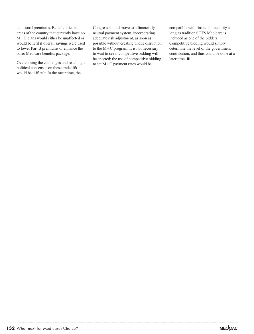additional premiums. Beneficiaries in areas of the country that currently have no M-C plans would either be unaffected or would benefit if overall savings were used to lower Part B premiums or enhance the basic Medicare benefits package.

Overcoming the challenges and reaching a political consensus on these tradeoffs would be difficult. In the meantime, the

Congress should move to a financially neutral payment system, incorporating adequate risk adjustment, as soon as possible without creating undue disruption to the M-C program. It is not necessary to wait to see if competitive bidding will be enacted; the use of competitive bidding to set M-C payment rates would be

compatible with financial neutrality as long as traditional FFS Medicare is included as one of the bidders. Competitive bidding would simply determine the level of the government contribution, and thus could be done at a later time.  $\blacksquare$